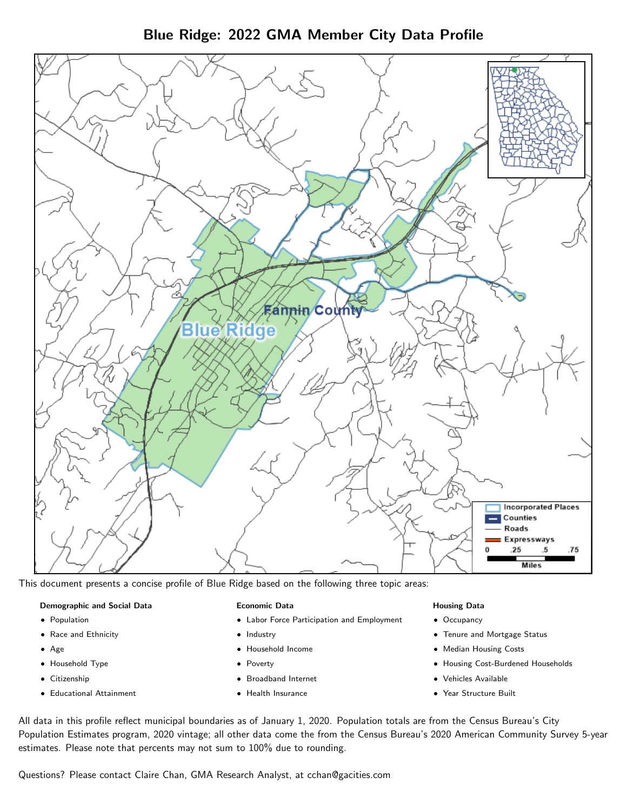Blue Ridge: 2022 GMA Member City Data Profile



This document presents a concise profile of Blue Ridge based on the following three topic areas:

#### Demographic and Social Data

- **•** Population
- Race and Ethnicity
- Age
- Household Type
- **Citizenship**
- Educational Attainment

#### Economic Data

- Labor Force Participation and Employment
- Industry
- Household Income
- Poverty
- Broadband Internet
- Health Insurance

#### Housing Data

- Occupancy
- Tenure and Mortgage Status
- Median Housing Costs
- Housing Cost-Burdened Households
- Vehicles Available
- Year Structure Built

All data in this profile reflect municipal boundaries as of January 1, 2020. Population totals are from the Census Bureau's City Population Estimates program, 2020 vintage; all other data come the from the Census Bureau's 2020 American Community Survey 5-year estimates. Please note that percents may not sum to 100% due to rounding.

Questions? Please contact Claire Chan, GMA Research Analyst, at [cchan@gacities.com.](mailto:cchan@gacities.com)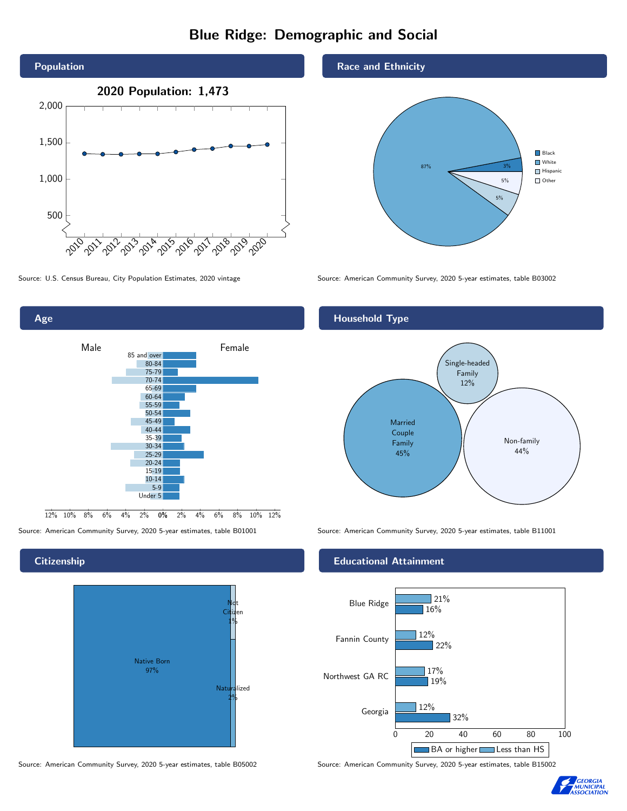# Blue Ridge: Demographic and Social



Age



Source: American Community Survey, 2020 5-year estimates, table B01001 Source: American Community Survey, 2020 5-year estimates, table B11001

# **Citizenship**



Source: American Community Survey, 2020 5-year estimates, table B05002 Source: American Community Survey, 2020 5-year estimates, table B15002

#### Race and Ethnicity



Source: U.S. Census Bureau, City Population Estimates, 2020 vintage Source: American Community Survey, 2020 5-year estimates, table B03002

# Household Type



#### Educational Attainment



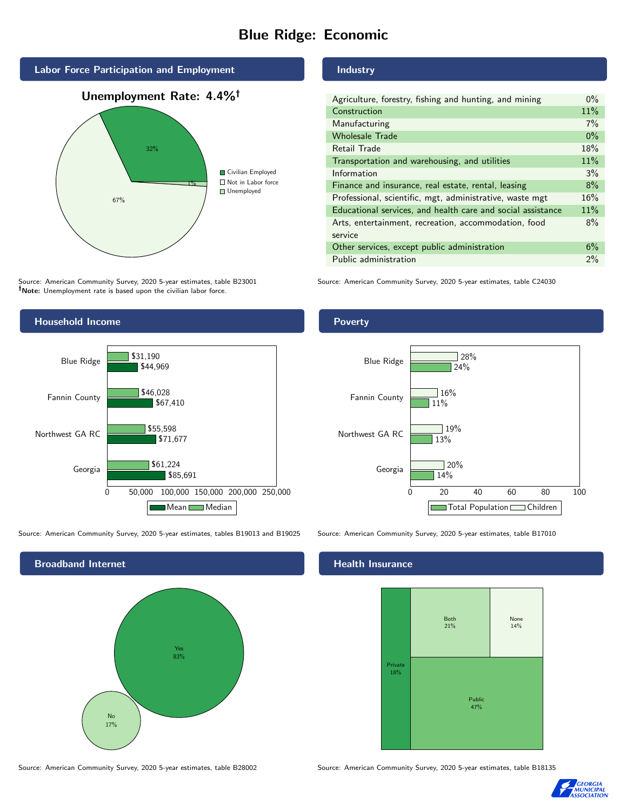# Blue Ridge: Economic



Source: American Community Survey, 2020 5-year estimates, table B23001 Note: Unemployment rate is based upon the civilian labor force.



Source: American Community Survey, 2020 5-year estimates, tables B19013 and B19025 Source: American Community Survey, 2020 5-year estimates, table B17010



Source: American Community Survey, 2020 5-year estimates, table B28002 Source: American Community Survey, 2020 5-year estimates, table B18135

## Industry

| Agriculture, forestry, fishing and hunting, and mining      | $0\%$ |
|-------------------------------------------------------------|-------|
| Construction                                                | 11%   |
| Manufacturing                                               | 7%    |
| <b>Wholesale Trade</b>                                      | $0\%$ |
| Retail Trade                                                | 18%   |
| Transportation and warehousing, and utilities               | 11%   |
| Information                                                 | 3%    |
| Finance and insurance, real estate, rental, leasing         | 8%    |
| Professional, scientific, mgt, administrative, waste mgt    | 16%   |
| Educational services, and health care and social assistance | 11%   |
| Arts, entertainment, recreation, accommodation, food        | 8%    |
| service                                                     |       |
| Other services, except public administration                | 6%    |
| Public administration                                       | $2\%$ |

Source: American Community Survey, 2020 5-year estimates, table C24030

### Poverty



#### Health Insurance